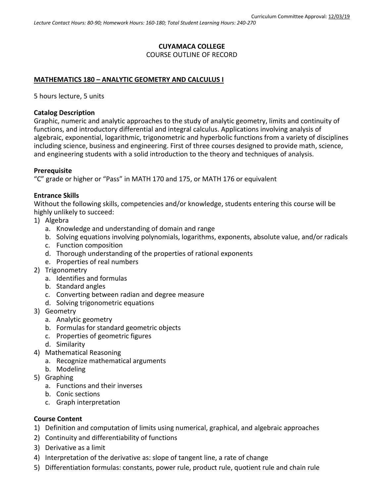# **CUYAMACA COLLEGE** COURSE OUTLINE OF RECORD

### **MATHEMATICS 180 – ANALYTIC GEOMETRY AND CALCULUS I**

5 hours lecture, 5 units

#### **Catalog Description**

Graphic, numeric and analytic approaches to the study of analytic geometry, limits and continuity of functions, and introductory differential and integral calculus. Applications involving analysis of algebraic, exponential, logarithmic, trigonometric and hyperbolic functions from a variety of disciplines including science, business and engineering. First of three courses designed to provide math, science, and engineering students with a solid introduction to the theory and techniques of analysis.

#### **Prerequisite**

"C" grade or higher or "Pass" in MATH 170 and 175, or MATH 176 or equivalent

#### **Entrance Skills**

Without the following skills, competencies and/or knowledge, students entering this course will be highly unlikely to succeed:

- 1) Algebra
	- a. Knowledge and understanding of domain and range
	- b. Solving equations involving polynomials, logarithms, exponents, absolute value, and/or radicals
	- c. Function composition
	- d. Thorough understanding of the properties of rational exponents
	- e. Properties of real numbers
- 2) Trigonometry
	- a. Identifies and formulas
	- b. Standard angles
	- c. Converting between radian and degree measure
	- d. Solving trigonometric equations
- 3) Geometry
	- a. Analytic geometry
	- b. Formulas for standard geometric objects
	- c. Properties of geometric figures
	- d. Similarity
- 4) Mathematical Reasoning
	- a. Recognize mathematical arguments
	- b. Modeling
- 5) Graphing
	- a. Functions and their inverses
	- b. Conic sections
	- c. Graph interpretation

#### **Course Content**

- 1) Definition and computation of limits using numerical, graphical, and algebraic approaches
- 2) Continuity and differentiability of functions
- 3) Derivative as a limit
- 4) Interpretation of the derivative as: slope of tangent line, a rate of change
- 5) Differentiation formulas: constants, power rule, product rule, quotient rule and chain rule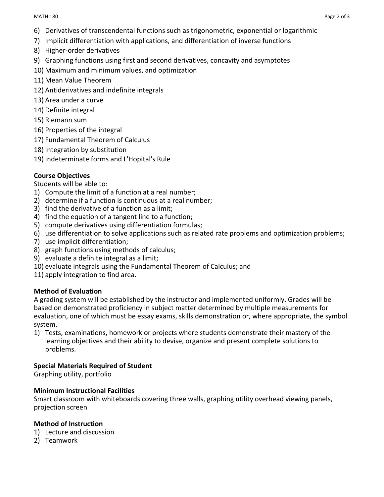- 6) Derivatives of transcendental functions such as trigonometric, exponential or logarithmic
- 7) Implicit differentiation with applications, and differentiation of inverse functions
- 8) Higher-order derivatives
- 9) Graphing functions using first and second derivatives, concavity and asymptotes
- 10) Maximum and minimum values, and optimization
- 11) Mean Value Theorem
- 12) Antiderivatives and indefinite integrals
- 13) Area under a curve
- 14) Definite integral
- 15) Riemann sum
- 16) Properties of the integral
- 17) Fundamental Theorem of Calculus
- 18) Integration by substitution
- 19) Indeterminate forms and L'Hopital's Rule

### **Course Objectives**

#### Students will be able to:

- 1) Compute the limit of a function at a real number;
- 2) determine if a function is continuous at a real number;
- 3) find the derivative of a function as a limit;
- 4) find the equation of a tangent line to a function;
- 5) compute derivatives using differentiation formulas;
- 6) use differentiation to solve applications such as related rate problems and optimization problems;
- 7) use implicit differentiation;
- 8) graph functions using methods of calculus;
- 9) evaluate a definite integral as a limit;
- 10) evaluate integrals using the Fundamental Theorem of Calculus; and
- 11) apply integration to find area.

#### **Method of Evaluation**

A grading system will be established by the instructor and implemented uniformly. Grades will be based on demonstrated proficiency in subject matter determined by multiple measurements for evaluation, one of which must be essay exams, skills demonstration or, where appropriate, the symbol system.

1) Tests, examinations, homework or projects where students demonstrate their mastery of the learning objectives and their ability to devise, organize and present complete solutions to problems.

#### **Special Materials Required of Student**

Graphing utility, portfolio

#### **Minimum Instructional Facilities**

Smart classroom with whiteboards covering three walls, graphing utility overhead viewing panels, projection screen

#### **Method of Instruction**

- 1) Lecture and discussion
- 2) Teamwork